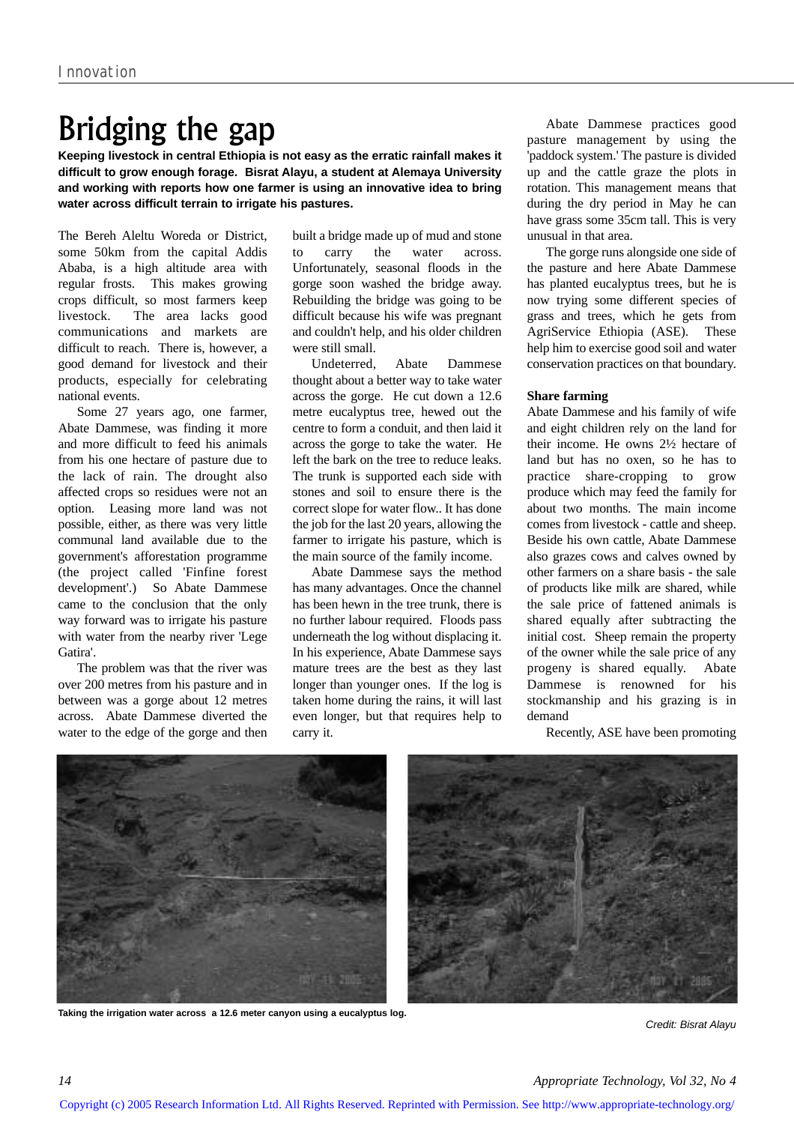## Bridging the gap

**Keeping livestock in central Ethiopia is not easy as the erratic rainfall makes it difficult to grow enough forage. Bisrat Alayu, a student at Alemaya University and working with reports how one farmer is using an innovative idea to bring water across difficult terrain to irrigate his pastures.** 

The Bereh Aleltu Woreda or District, some 50km from the capital Addis Ababa, is a high altitude area with regular frosts. This makes growing crops difficult, so most farmers keep livestock. The area lacks good communications and markets are difficult to reach. There is, however, a good demand for livestock and their products, especially for celebrating national events.

Some 27 years ago, one farmer, Abate Dammese, was finding it more and more difficult to feed his animals from his one hectare of pasture due to the lack of rain. The drought also affected crops so residues were not an option. Leasing more land was not possible, either, as there was very little communal land available due to the government's afforestation programme (the project called 'Finfine forest development'.) So Abate Dammese came to the conclusion that the only way forward was to irrigate his pasture with water from the nearby river 'Lege Gatira'.

The problem was that the river was over 200 metres from his pasture and in between was a gorge about 12 metres across. Abate Dammese diverted the water to the edge of the gorge and then

built a bridge made up of mud and stone to carry the water across. Unfortunately, seasonal floods in the gorge soon washed the bridge away. Rebuilding the bridge was going to be difficult because his wife was pregnant and couldn't help, and his older children were still small.

Undeterred, Abate Dammese thought about a better way to take water across the gorge. He cut down a 12.6 metre eucalyptus tree, hewed out the centre to form a conduit, and then laid it across the gorge to take the water. He left the bark on the tree to reduce leaks. The trunk is supported each side with stones and soil to ensure there is the correct slope for water flow.. It has done the job for the last 20 years, allowing the farmer to irrigate his pasture, which is the main source of the family income.

Abate Dammese says the method has many advantages. Once the channel has been hewn in the tree trunk, there is no further labour required. Floods pass underneath the log without displacing it. In his experience, Abate Dammese says mature trees are the best as they last longer than younger ones. If the log is taken home during the rains, it will last even longer, but that requires help to carry it.

Abate Dammese practices good pasture management by using the 'paddock system.' The pasture is divided up and the cattle graze the plots in rotation. This management means that during the dry period in May he can have grass some 35cm tall. This is very unusual in that area.

The gorge runs alongside one side of the pasture and here Abate Dammese has planted eucalyptus trees, but he is now trying some different species of grass and trees, which he gets from AgriService Ethiopia (ASE). These help him to exercise good soil and water conservation practices on that boundary.

## **Share farming**

Abate Dammese and his family of wife and eight children rely on the land for their income. He owns 2½ hectare of land but has no oxen, so he has to practice share-cropping to grow produce which may feed the family for about two months. The main income comes from livestock - cattle and sheep. Beside his own cattle, Abate Dammese also grazes cows and calves owned by other farmers on a share basis - the sale of products like milk are shared, while the sale price of fattened animals is shared equally after subtracting the initial cost. Sheep remain the property of the owner while the sale price of any progeny is shared equally. Abate Dammese is renowned for his stockmanship and his grazing is in demand

Recently, ASE have been promoting



**Taking the irrigation water across a 12.6 meter canyon using a eucalyptus log.**

*Credit: Bisrat Alayu*